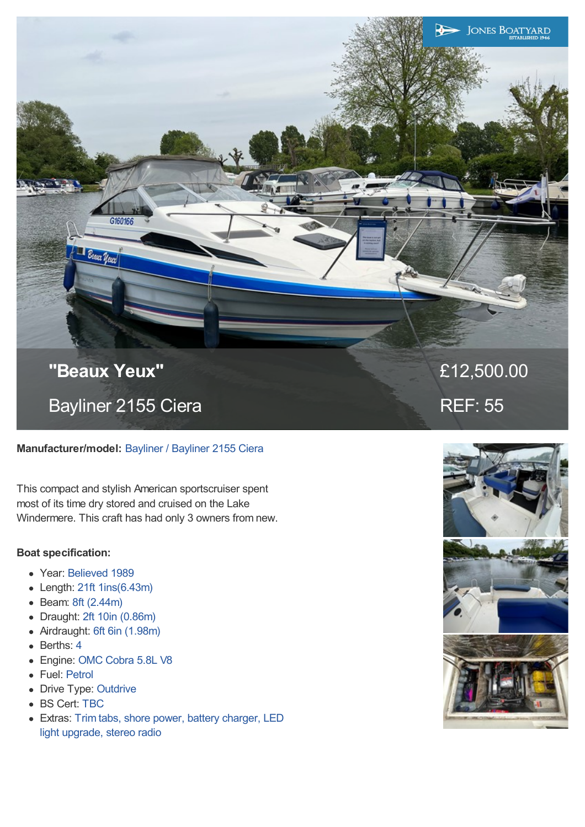**"Beaux Yeux"** Bayliner 2155 Ciera

G160166

Beaux Years

# **Manufacturer/model:** Bayliner / Bayliner 2155 Ciera

This compact and stylish American sportscruiser spent most of its time dry stored and cruised on the Lake Windermere. This craft has had only 3 owners from new.

# **Boat specification:**

- Year: Believed 1989
- Length: 21ft 1ins(6.43m)
- Beam: 8ft (2.44m)
- Draught: 2ft 10in (0.86m)
- Airdraught: 6ft 6in (1.98m)
- Berths: 4
- Engine: OMC Cobra 5.8L V8
- Fuel: Petrol
- Drive Type: Outdrive
- BS Cert: TBC
- Extras: Trim tabs, shore power, battery charger, LED light upgrade, stereo radio



£12,500.00

**JONES BOATYARD** 

REF: 55